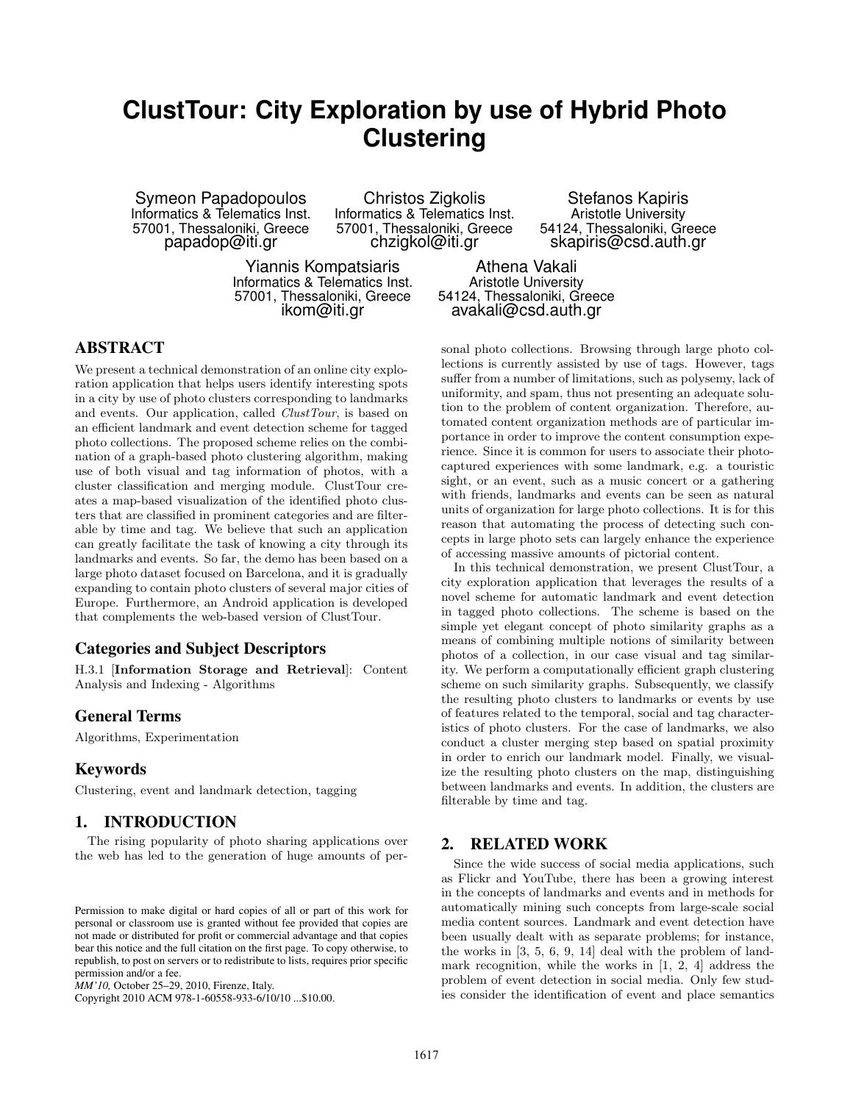# **ClustTour: City Exploration by use of Hybrid Photo Clustering**

Symeon Papadopoulos Informatics & Telematics Inst. 57001, Thessaloniki, Greece papadop@iti.gr

Christos Zigkolis Informatics & Telematics Inst. 57001, Thessaloniki, Greece chzigkol@iti.gr

Aristotle University 54124, Thessaloniki, Greece skapiris@csd.auth.gr

Stefanos Kapiris

Yiannis Kompatsiaris Informatics & Telematics Inst. 57001, Thessaloniki, Greece ikom@iti.gr

Athena Vakali Aristotle University 54124, Thessaloniki, Greece avakali@csd.auth.gr

# ABSTRACT

We present a technical demonstration of an online city exploration application that helps users identify interesting spots in a city by use of photo clusters corresponding to landmarks and events. Our application, called *ClustTour*, is based on an efficient landmark and event detection scheme for tagged photo collections. The proposed scheme relies on the combination of a graph-based photo clustering algorithm, making use of both visual and tag information of photos, with a cluster classification and merging module. ClustTour creates a map-based visualization of the identified photo clusters that are classified in prominent categories and are filterable by time and tag. We believe that such an application can greatly facilitate the task of knowing a city through its landmarks and events. So far, the demo has been based on a large photo dataset focused on Barcelona, and it is gradually expanding to contain photo clusters of several major cities of Europe. Furthermore, an Android application is developed that complements the web-based version of ClustTour.

# Categories and Subject Descriptors

H.3.1 [Information Storage and Retrieval]: Content Analysis and Indexing - Algorithms

## General Terms

Algorithms, Experimentation

## Keywords

Clustering, event and landmark detection, tagging

# 1. INTRODUCTION

The rising popularity of photo sharing applications over the web has led to the generation of huge amounts of per-

Copyright 2010 ACM 978-1-60558-933-6/10/10 ...\$10.00.

sonal photo collections. Browsing through large photo collections is currently assisted by use of tags. However, tags suffer from a number of limitations, such as polysemy, lack of uniformity, and spam, thus not presenting an adequate solution to the problem of content organization. Therefore, automated content organization methods are of particular importance in order to improve the content consumption experience. Since it is common for users to associate their photocaptured experiences with some landmark, e.g. a touristic sight, or an event, such as a music concert or a gathering with friends, landmarks and events can be seen as natural units of organization for large photo collections. It is for this reason that automating the process of detecting such concepts in large photo sets can largely enhance the experience of accessing massive amounts of pictorial content.

In this technical demonstration, we present ClustTour, a city exploration application that leverages the results of a novel scheme for automatic landmark and event detection in tagged photo collections. The scheme is based on the simple yet elegant concept of photo similarity graphs as a means of combining multiple notions of similarity between photos of a collection, in our case visual and tag similarity. We perform a computationally efficient graph clustering scheme on such similarity graphs. Subsequently, we classify the resulting photo clusters to landmarks or events by use of features related to the temporal, social and tag characteristics of photo clusters. For the case of landmarks, we also conduct a cluster merging step based on spatial proximity in order to enrich our landmark model. Finally, we visualize the resulting photo clusters on the map, distinguishing between landmarks and events. In addition, the clusters are filterable by time and tag.

#### 2. RELATED WORK

Since the wide success of social media applications, such as Flickr and YouTube, there has been a growing interest in the concepts of landmarks and events and in methods for automatically mining such concepts from large-scale social media content sources. Landmark and event detection have been usually dealt with as separate problems; for instance, the works in [3, 5, 6, 9, 14] deal with the problem of landmark recognition, while the works in [1, 2, 4] address the problem of event detection in social media. Only few studies consider the identification of event and place semantics

Permission to make digital or hard copies of all or part of this work for personal or classroom use is granted without fee provided that copies are not made or distributed for profit or commercial advantage and that copies bear this notice and the full citation on the first page. To copy otherwise, to republish, to post on servers or to redistribute to lists, requires prior specific permission and/or a fee.

*MM'10,* October 25–29, 2010, Firenze, Italy.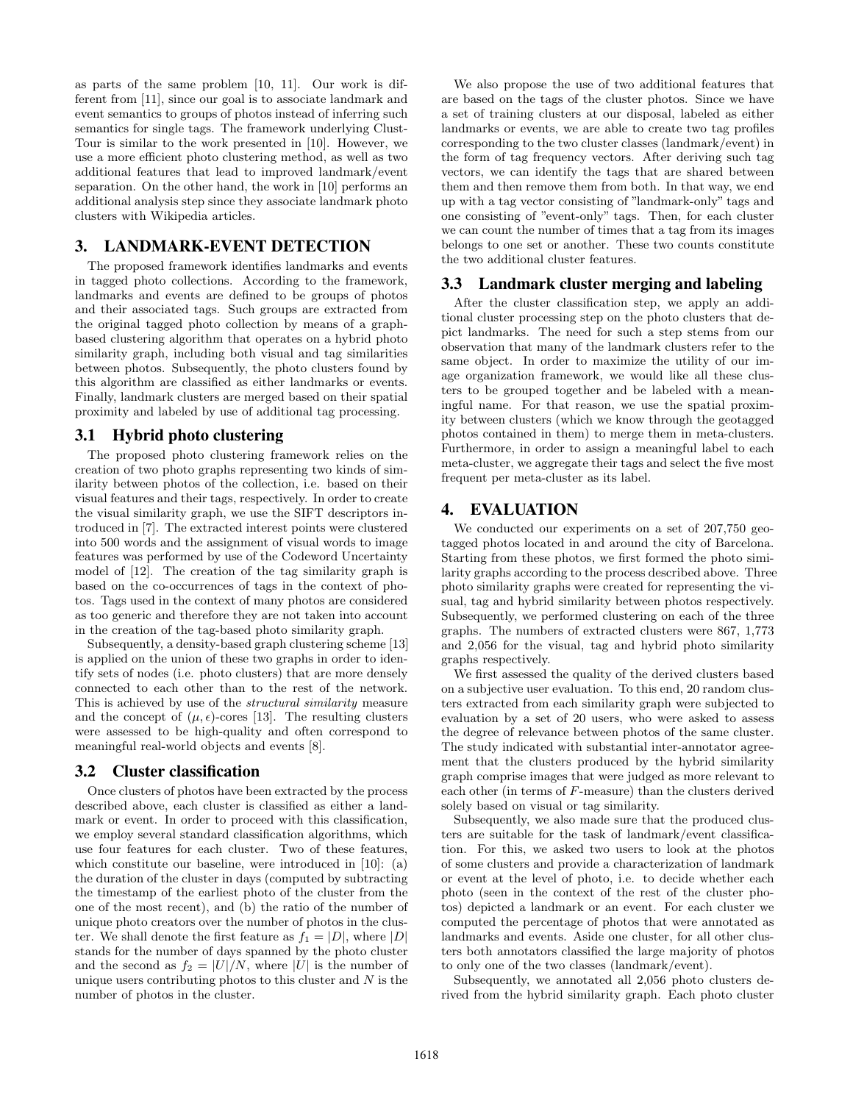as parts of the same problem [10, 11]. Our work is different from [11], since our goal is to associate landmark and event semantics to groups of photos instead of inferring such semantics for single tags. The framework underlying Clust-Tour is similar to the work presented in [10]. However, we use a more efficient photo clustering method, as well as two additional features that lead to improved landmark/event separation. On the other hand, the work in [10] performs an additional analysis step since they associate landmark photo clusters with Wikipedia articles.

# 3. LANDMARK-EVENT DETECTION

The proposed framework identifies landmarks and events in tagged photo collections. According to the framework, landmarks and events are defined to be groups of photos and their associated tags. Such groups are extracted from the original tagged photo collection by means of a graphbased clustering algorithm that operates on a hybrid photo similarity graph, including both visual and tag similarities between photos. Subsequently, the photo clusters found by this algorithm are classified as either landmarks or events. Finally, landmark clusters are merged based on their spatial proximity and labeled by use of additional tag processing.

#### 3.1 Hybrid photo clustering

The proposed photo clustering framework relies on the creation of two photo graphs representing two kinds of similarity between photos of the collection, i.e. based on their visual features and their tags, respectively. In order to create the visual similarity graph, we use the SIFT descriptors introduced in [7]. The extracted interest points were clustered into 500 words and the assignment of visual words to image features was performed by use of the Codeword Uncertainty model of [12]. The creation of the tag similarity graph is based on the co-occurrences of tags in the context of photos. Tags used in the context of many photos are considered as too generic and therefore they are not taken into account in the creation of the tag-based photo similarity graph.

Subsequently, a density-based graph clustering scheme [13] is applied on the union of these two graphs in order to identify sets of nodes (i.e. photo clusters) that are more densely connected to each other than to the rest of the network. This is achieved by use of the structural similarity measure and the concept of  $(\mu, \epsilon)$ -cores [13]. The resulting clusters were assessed to be high-quality and often correspond to meaningful real-world objects and events [8].

## 3.2 Cluster classification

Once clusters of photos have been extracted by the process described above, each cluster is classified as either a landmark or event. In order to proceed with this classification, we employ several standard classification algorithms, which use four features for each cluster. Two of these features, which constitute our baseline, were introduced in [10]: (a) the duration of the cluster in days (computed by subtracting the timestamp of the earliest photo of the cluster from the one of the most recent), and (b) the ratio of the number of unique photo creators over the number of photos in the cluster. We shall denote the first feature as  $f_1 = |D|$ , where  $|D|$ stands for the number of days spanned by the photo cluster and the second as  $f_2 = |U|/N$ , where |U| is the number of unique users contributing photos to this cluster and  $N$  is the number of photos in the cluster.

We also propose the use of two additional features that are based on the tags of the cluster photos. Since we have a set of training clusters at our disposal, labeled as either landmarks or events, we are able to create two tag profiles corresponding to the two cluster classes (landmark/event) in the form of tag frequency vectors. After deriving such tag vectors, we can identify the tags that are shared between them and then remove them from both. In that way, we end up with a tag vector consisting of "landmark-only" tags and one consisting of "event-only" tags. Then, for each cluster we can count the number of times that a tag from its images belongs to one set or another. These two counts constitute the two additional cluster features.

## 3.3 Landmark cluster merging and labeling

After the cluster classification step, we apply an additional cluster processing step on the photo clusters that depict landmarks. The need for such a step stems from our observation that many of the landmark clusters refer to the same object. In order to maximize the utility of our image organization framework, we would like all these clusters to be grouped together and be labeled with a meaningful name. For that reason, we use the spatial proximity between clusters (which we know through the geotagged photos contained in them) to merge them in meta-clusters. Furthermore, in order to assign a meaningful label to each meta-cluster, we aggregate their tags and select the five most frequent per meta-cluster as its label.

#### 4. EVALUATION

We conducted our experiments on a set of 207,750 geotagged photos located in and around the city of Barcelona. Starting from these photos, we first formed the photo similarity graphs according to the process described above. Three photo similarity graphs were created for representing the visual, tag and hybrid similarity between photos respectively. Subsequently, we performed clustering on each of the three graphs. The numbers of extracted clusters were 867, 1,773 and 2,056 for the visual, tag and hybrid photo similarity graphs respectively.

We first assessed the quality of the derived clusters based on a subjective user evaluation. To this end, 20 random clusters extracted from each similarity graph were subjected to evaluation by a set of 20 users, who were asked to assess the degree of relevance between photos of the same cluster. The study indicated with substantial inter-annotator agreement that the clusters produced by the hybrid similarity graph comprise images that were judged as more relevant to each other (in terms of F-measure) than the clusters derived solely based on visual or tag similarity.

Subsequently, we also made sure that the produced clusters are suitable for the task of landmark/event classification. For this, we asked two users to look at the photos of some clusters and provide a characterization of landmark or event at the level of photo, i.e. to decide whether each photo (seen in the context of the rest of the cluster photos) depicted a landmark or an event. For each cluster we computed the percentage of photos that were annotated as landmarks and events. Aside one cluster, for all other clusters both annotators classified the large majority of photos to only one of the two classes (landmark/event).

Subsequently, we annotated all 2,056 photo clusters derived from the hybrid similarity graph. Each photo cluster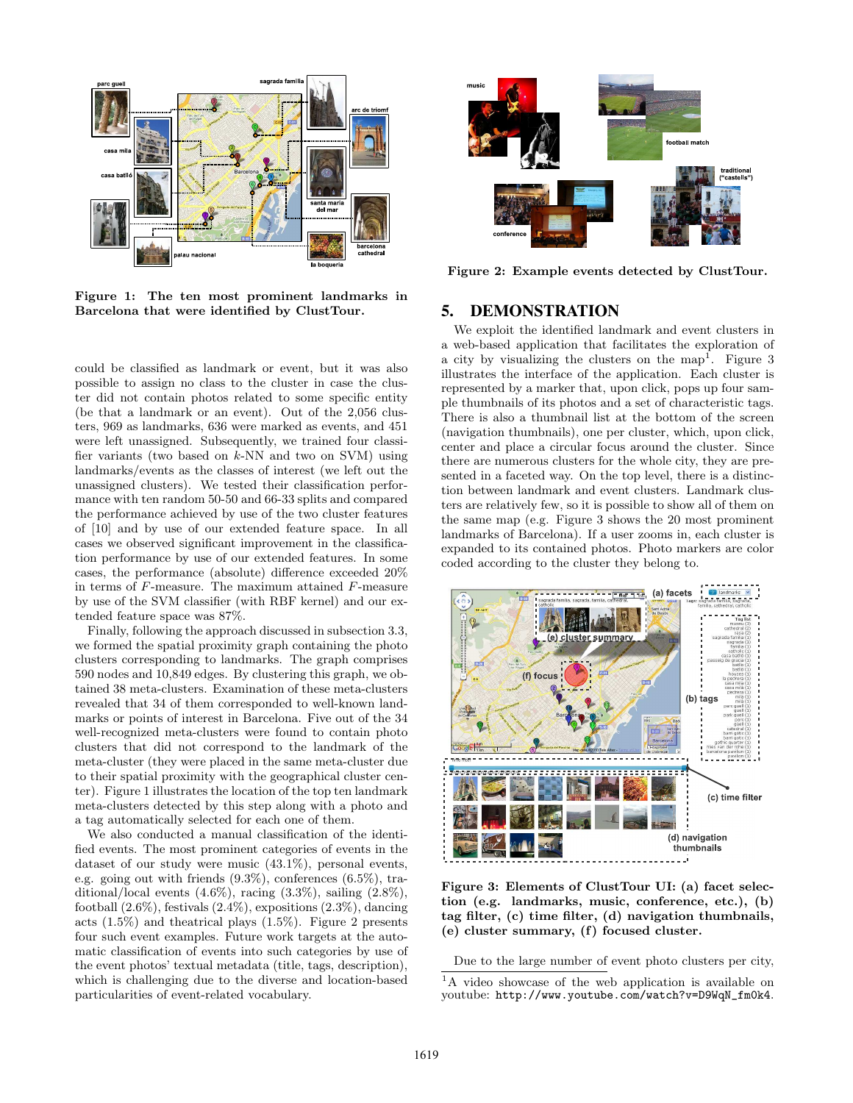

Figure 1: The ten most prominent landmarks in Barcelona that were identified by ClustTour.

could be classified as landmark or event, but it was also possible to assign no class to the cluster in case the cluster did not contain photos related to some specific entity (be that a landmark or an event). Out of the 2,056 clusters, 969 as landmarks, 636 were marked as events, and 451 were left unassigned. Subsequently, we trained four classifier variants (two based on  $k$ -NN and two on SVM) using landmarks/events as the classes of interest (we left out the unassigned clusters). We tested their classification performance with ten random 50-50 and 66-33 splits and compared the performance achieved by use of the two cluster features of [10] and by use of our extended feature space. In all cases we observed significant improvement in the classification performance by use of our extended features. In some cases, the performance (absolute) difference exceeded 20% in terms of F-measure. The maximum attained F-measure by use of the SVM classifier (with RBF kernel) and our extended feature space was 87%.

Finally, following the approach discussed in subsection 3.3, we formed the spatial proximity graph containing the photo clusters corresponding to landmarks. The graph comprises 590 nodes and 10,849 edges. By clustering this graph, we obtained 38 meta-clusters. Examination of these meta-clusters revealed that 34 of them corresponded to well-known landmarks or points of interest in Barcelona. Five out of the 34 well-recognized meta-clusters were found to contain photo clusters that did not correspond to the landmark of the meta-cluster (they were placed in the same meta-cluster due to their spatial proximity with the geographical cluster center). Figure 1 illustrates the location of the top ten landmark meta-clusters detected by this step along with a photo and a tag automatically selected for each one of them.

We also conducted a manual classification of the identified events. The most prominent categories of events in the dataset of our study were music (43.1%), personal events, e.g. going out with friends (9.3%), conferences (6.5%), traditional/local events  $(4.6\%)$ , racing  $(3.3\%)$ , sailing  $(2.8\%)$ , football  $(2.6\%)$ , festivals  $(2.4\%)$ , expositions  $(2.3\%)$ , dancing acts (1.5%) and theatrical plays (1.5%). Figure 2 presents four such event examples. Future work targets at the automatic classification of events into such categories by use of the event photos' textual metadata (title, tags, description), which is challenging due to the diverse and location-based particularities of event-related vocabulary.



Figure 2: Example events detected by ClustTour.

## 5. DEMONSTRATION

We exploit the identified landmark and event clusters in a web-based application that facilitates the exploration of a city by visualizing the clusters on the map<sup>1</sup>. Figure 3 illustrates the interface of the application. Each cluster is represented by a marker that, upon click, pops up four sample thumbnails of its photos and a set of characteristic tags. There is also a thumbnail list at the bottom of the screen (navigation thumbnails), one per cluster, which, upon click, center and place a circular focus around the cluster. Since there are numerous clusters for the whole city, they are presented in a faceted way. On the top level, there is a distinction between landmark and event clusters. Landmark clusters are relatively few, so it is possible to show all of them on the same map (e.g. Figure 3 shows the 20 most prominent landmarks of Barcelona). If a user zooms in, each cluster is expanded to its contained photos. Photo markers are color coded according to the cluster they belong to.



Figure 3: Elements of ClustTour UI: (a) facet selection (e.g. landmarks, music, conference, etc.), (b) tag filter, (c) time filter, (d) navigation thumbnails, (e) cluster summary, (f) focused cluster.

Due to the large number of event photo clusters per city,

<sup>&</sup>lt;sup>1</sup>A video showcase of the web application is available on youtube: http://www.youtube.com/watch?v=D9WqN\_fm0k4.